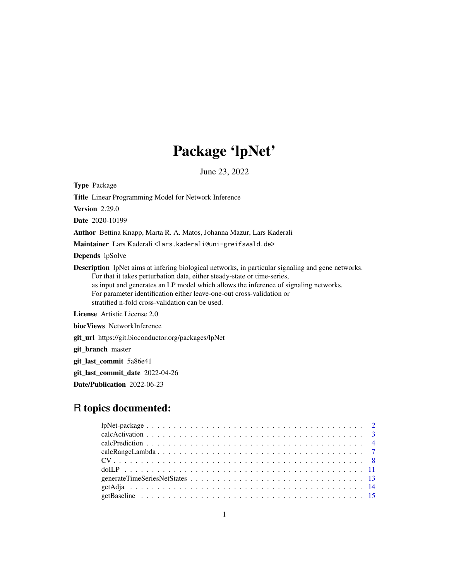# Package 'lpNet'

June 23, 2022

Type Package

Title Linear Programming Model for Network Inference

Version 2.29.0

Date 2020-10199

Author Bettina Knapp, Marta R. A. Matos, Johanna Mazur, Lars Kaderali

Maintainer Lars Kaderali<lars.kaderali@uni-greifswald.de>

Depends lpSolve

Description lpNet aims at infering biological networks, in particular signaling and gene networks. For that it takes perturbation data, either steady-state or time-series, as input and generates an LP model which allows the inference of signaling networks. For parameter identification either leave-one-out cross-validation or stratified n-fold cross-validation can be used.

License Artistic License 2.0

biocViews NetworkInference

git\_url https://git.bioconductor.org/packages/lpNet

git\_branch master

git\_last\_commit 5a86e41

git\_last\_commit\_date 2022-04-26

Date/Publication 2022-06-23

# R topics documented: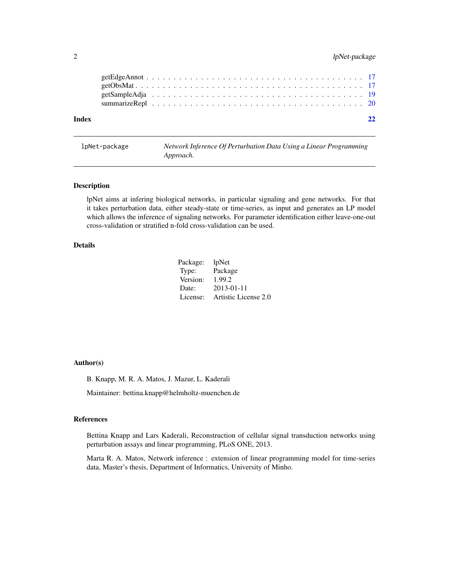#### <span id="page-1-0"></span>2 lpNet-package

lpNet-package *Network Inference Of Perturbation Data Using a Linear Programming Approach.*

#### Description

lpNet aims at infering biological networks, in particular signaling and gene networks. For that it takes perturbation data, either steady-state or time-series, as input and generates an LP model which allows the inference of signaling networks. For parameter identification either leave-one-out cross-validation or stratified n-fold cross-validation can be used.

#### Details

| Package: | <i>lpNet</i>         |
|----------|----------------------|
| Type:    | Package              |
| Version: | 1.99.2               |
| Date:    | $2013 - 01 - 11$     |
| License: | Artistic License 2.0 |

#### Author(s)

B. Knapp, M. R. A. Matos, J. Mazur, L. Kaderali

Maintainer: bettina.knapp@helmholtz-muenchen.de

#### References

Bettina Knapp and Lars Kaderali, Reconstruction of cellular signal transduction networks using perturbation assays and linear programming, PLoS ONE, 2013.

Marta R. A. Matos, Network inference : extension of linear programming model for time-series data, Master's thesis, Department of Informatics, University of Minho.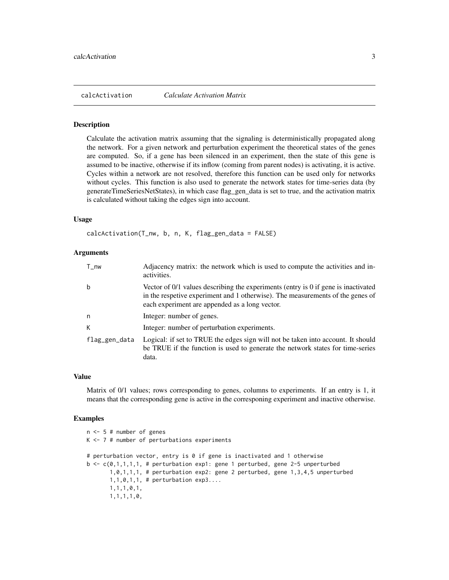<span id="page-2-1"></span><span id="page-2-0"></span>calcActivation *Calculate Activation Matrix*

#### Description

Calculate the activation matrix assuming that the signaling is deterministically propagated along the network. For a given network and perturbation experiment the theoretical states of the genes are computed. So, if a gene has been silenced in an experiment, then the state of this gene is assumed to be inactive, otherwise if its inflow (coming from parent nodes) is activating, it is active. Cycles within a network are not resolved, therefore this function can be used only for networks without cycles. This function is also used to generate the network states for time-series data (by generateTimeSeriesNetStates), in which case flag\_gen\_data is set to true, and the activation matrix is calculated without taking the edges sign into account.

#### Usage

calcActivation(T\_nw, b, n, K, flag\_gen\_data = FALSE)

#### Arguments

| $T_{\text{v}}$ | Adjacency matrix: the network which is used to compute the activities and in-<br>activities.                                                                                                                           |
|----------------|------------------------------------------------------------------------------------------------------------------------------------------------------------------------------------------------------------------------|
| b              | Vector of 0/1 values describing the experiments (entry is 0 if gene is inactivated<br>in the respetive experiment and 1 otherwise). The measurements of the genes of<br>each experiment are appended as a long vector. |
| n              | Integer: number of genes.                                                                                                                                                                                              |
| К              | Integer: number of perturbation experiments.                                                                                                                                                                           |
| flag_gen_data  | Logical: if set to TRUE the edges sign will not be taken into account. It should<br>be TRUE if the function is used to generate the network states for time-series<br>data.                                            |

#### Value

Matrix of 0/1 values; rows corresponding to genes, columns to experiments. If an entry is 1, it means that the corresponding gene is active in the corresponing experiment and inactive otherwise.

```
n <- 5 # number of genes
K \le -7 # number of perturbations experiments
# perturbation vector, entry is 0 if gene is inactivated and 1 otherwise
b \leq c(0,1,1,1,1,1) # perturbation exp1: gene 1 perturbed, gene 2-5 unperturbed
       1,0,1,1,1, # perturbation exp2: gene 2 perturbed, gene 1,3,4,5 unperturbed
       1,1,0,1,1, # perturbation exp3....
       1,1,1,0,1,
       1,1,1,1,0,
```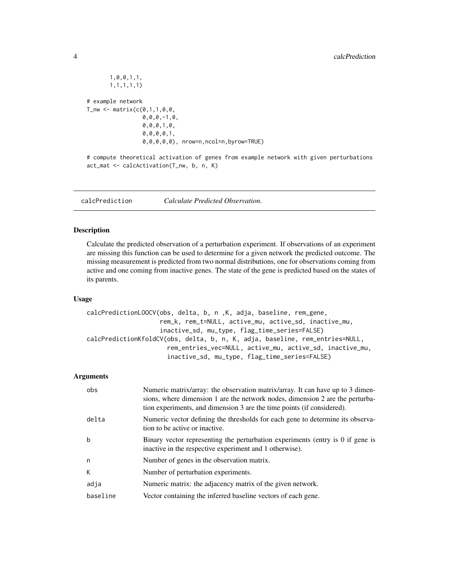```
1,0,0,1,1,
       1,1,1,1,1)
# example network
T_{\text{inv}} < - matrix(c(0,1,1,0,0,0,0,0,-1,0,
                  0,0,0,1,0,
                  0,0,0,0,1,
                  0,0,0,0,0), nrow=n,ncol=n,byrow=TRUE)
```

```
# compute theoretical activation of genes from example network with given perturbations
act_mat <- calcActivation(T_nw, b, n, K)
```
calcPrediction *Calculate Predicted Observation.*

#### Description

Calculate the predicted observation of a perturbation experiment. If observations of an experiment are missing this function can be used to determine for a given network the predicted outcome. The missing measurement is predicted from two normal distributions, one for observations coming from active and one coming from inactive genes. The state of the gene is predicted based on the states of its parents.

#### Usage

```
calcPredictionLOOCV(obs, delta, b, n ,K, adja, baseline, rem_gene,
                    rem_k, rem_t=NULL, active_mu, active_sd, inactive_mu,
                    inactive_sd, mu_type, flag_time_series=FALSE)
calcPredictionKfoldCV(obs, delta, b, n, K, adja, baseline, rem_entries=NULL,
                      rem_entries_vec=NULL, active_mu, active_sd, inactive_mu,
                      inactive_sd, mu_type, flag_time_series=FALSE)
```

| obs      | Numeric matrix/array: the observation matrix/array. It can have up to 3 dimen-<br>sions, where dimension 1 are the network nodes, dimension 2 are the perturba-<br>tion experiments, and dimension 3 are the time points (if considered). |
|----------|-------------------------------------------------------------------------------------------------------------------------------------------------------------------------------------------------------------------------------------------|
| delta    | Numeric vector defining the thresholds for each gene to determine its observa-<br>tion to be active or inactive.                                                                                                                          |
| b        | Binary vector representing the perturbation experiments (entry is 0 if gene is<br>inactive in the respective experiment and 1 otherwise).                                                                                                 |
| n        | Number of genes in the observation matrix.                                                                                                                                                                                                |
| К        | Number of perturbation experiments.                                                                                                                                                                                                       |
| adja     | Numeric matrix: the adjacency matrix of the given network.                                                                                                                                                                                |
| baseline | Vector containing the inferred baseline vectors of each gene.                                                                                                                                                                             |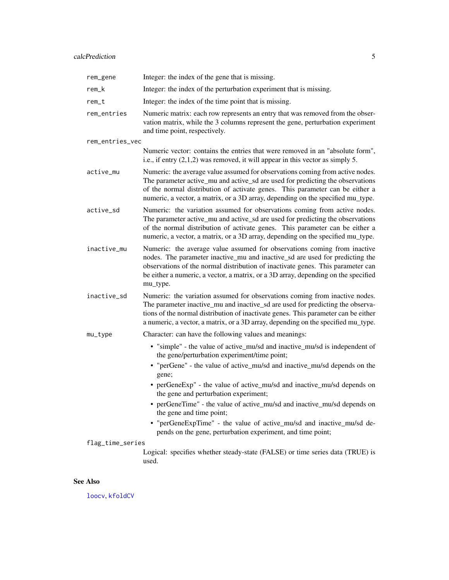# <span id="page-4-0"></span>calcPrediction 5

| rem_gene          | Integer: the index of the gene that is missing.                                                                                                                                                                                                                                                                                               |  |
|-------------------|-----------------------------------------------------------------------------------------------------------------------------------------------------------------------------------------------------------------------------------------------------------------------------------------------------------------------------------------------|--|
| rem_k             | Integer: the index of the perturbation experiment that is missing.                                                                                                                                                                                                                                                                            |  |
| rem_t             | Integer: the index of the time point that is missing.                                                                                                                                                                                                                                                                                         |  |
| rem_entries       | Numeric matrix: each row represents an entry that was removed from the obser-<br>vation matrix, while the 3 columns represent the gene, perturbation experiment<br>and time point, respectively.                                                                                                                                              |  |
| rem_entries_vec   |                                                                                                                                                                                                                                                                                                                                               |  |
|                   | Numeric vector: contains the entries that were removed in an "absolute form",<br>i.e., if entry $(2,1,2)$ was removed, it will appear in this vector as simply 5.                                                                                                                                                                             |  |
| active_mu         | Numeric: the average value assumed for observations coming from active nodes.<br>The parameter active_mu and active_sd are used for predicting the observations<br>of the normal distribution of activate genes. This parameter can be either a<br>numeric, a vector, a matrix, or a 3D array, depending on the specified mu_type.            |  |
| active_sd         | Numeric: the variation assumed for observations coming from active nodes.<br>The parameter active_mu and active_sd are used for predicting the observations<br>of the normal distribution of activate genes. This parameter can be either a<br>numeric, a vector, a matrix, or a 3D array, depending on the specified mu_type.                |  |
| inactive_mu       | Numeric: the average value assumed for observations coming from inactive<br>nodes. The parameter inactive_mu and inactive_sd are used for predicting the<br>observations of the normal distribution of inactivate genes. This parameter can<br>be either a numeric, a vector, a matrix, or a 3D array, depending on the specified<br>mu_type. |  |
| inactive_sd       | Numeric: the variation assumed for observations coming from inactive nodes.<br>The parameter inactive_mu and inactive_sd are used for predicting the observa-<br>tions of the normal distribution of inactivate genes. This parameter can be either<br>a numeric, a vector, a matrix, or a 3D array, depending on the specified mu_type.      |  |
| $mu_{\text{ype}}$ | Character: can have the following values and meanings:                                                                                                                                                                                                                                                                                        |  |
|                   | • "simple" - the value of active_mu/sd and inactive_mu/sd is independent of<br>the gene/perturbation experiment/time point;                                                                                                                                                                                                                   |  |
|                   | • "perGene" - the value of active_mu/sd and inactive_mu/sd depends on the<br>gene;                                                                                                                                                                                                                                                            |  |
|                   | • perGeneExp" - the value of active_mu/sd and inactive_mu/sd depends on<br>the gene and perturbation experiment;                                                                                                                                                                                                                              |  |
|                   | • perGeneTime" - the value of active_mu/sd and inactive_mu/sd depends on<br>the gene and time point;                                                                                                                                                                                                                                          |  |
|                   | • "perGeneExpTime" - the value of active_mu/sd and inactive_mu/sd de-<br>pends on the gene, perturbation experiment, and time point;                                                                                                                                                                                                          |  |
| flag_time_series  |                                                                                                                                                                                                                                                                                                                                               |  |
|                   | Logical: specifies whether steady-state (FALSE) or time series data (TRUE) is<br>used.                                                                                                                                                                                                                                                        |  |
|                   |                                                                                                                                                                                                                                                                                                                                               |  |

# See Also

[loocv](#page-7-1), [kfoldCV](#page-7-1)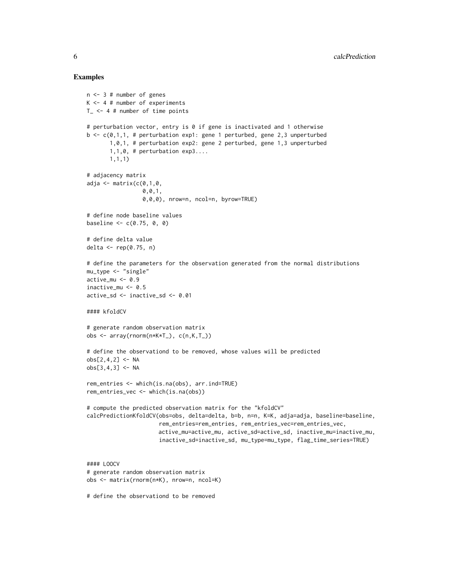```
n <- 3 # number of genes
K \le -4 # number of experiments
T_{-} <- 4 # number of time points
# perturbation vector, entry is 0 if gene is inactivated and 1 otherwise
b \leq -c(0,1,1, \# perturbation exp1: gene 1 perturbed, gene 2,3 unperturbed
       1,0,1, # perturbation exp2: gene 2 perturbed, gene 1,3 unperturbed
       1,1,0, # perturbation exp3....
       1,1,1)
# adjacency matrix
adja \leq matrix(c(0,1,0,0,0,1,
                 0,0,0), nrow=n, ncol=n, byrow=TRUE)
# define node baseline values
baseline <-c(0.75, 0, 0)# define delta value
delta \leq rep(0.75, n)
# define the parameters for the observation generated from the normal distributions
mu_type <- "single"
active_mu <- 0.9
inactive_mu <- 0.5
active_sd <- inactive_sd <- 0.01
#### kfoldCV
# generate random observation matrix
obs <- array(rnorm(n*K*T_), c(n,K,T_))
# define the observationd to be removed, whose values will be predicted
obs[2, 4, 2] <- NA
obs[3, 4, 3] <- NA
rem_entries <- which(is.na(obs), arr.ind=TRUE)
rem_entries_vec <- which(is.na(obs))
# compute the predicted observation matrix for the "kfoldCV"
calcPredictionKfoldCV(obs=obs, delta=delta, b=b, n=n, K=K, adja=adja, baseline=baseline,
                      rem_entries=rem_entries, rem_entries_vec=rem_entries_vec,
                      active_mu=active_mu, active_sd=active_sd, inactive_mu=inactive_mu,
                      inactive_sd=inactive_sd, mu_type=mu_type, flag_time_series=TRUE)
#### LOOCV
# generate random observation matrix
obs <- matrix(rnorm(n*K), nrow=n, ncol=K)
# define the observationd to be removed
```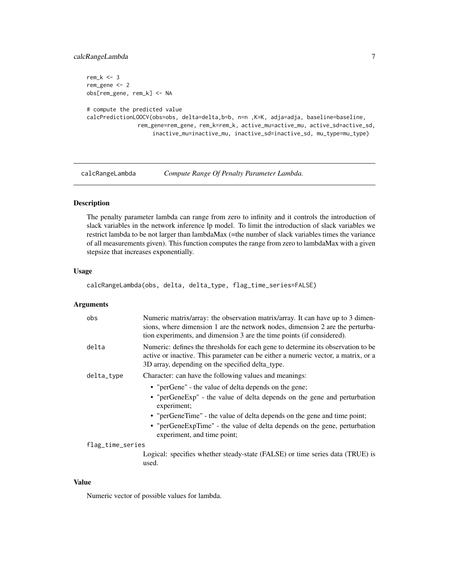#### <span id="page-6-0"></span>calcRangeLambda 7

```
rem_k <- 3
rem_gene <- 2
obs[rem_gene, rem_k] <- NA
# compute the predicted value
calcPredictionLOOCV(obs=obs, delta=delta,b=b, n=n ,K=K, adja=adja, baseline=baseline,
               rem_gene=rem_gene, rem_k=rem_k, active_mu=active_mu, active_sd=active_sd,
                    inactive_mu=inactive_mu, inactive_sd=inactive_sd, mu_type=mu_type)
```
calcRangeLambda *Compute Range Of Penalty Parameter Lambda.*

#### Description

The penalty parameter lambda can range from zero to infinity and it controls the introduction of slack variables in the network inference lp model. To limit the introduction of slack variables we restrict lambda to be not larger than lambdaMax (=the number of slack variables times the variance of all measurements given). This function computes the range from zero to lambdaMax with a given stepsize that increases exponentially.

#### Usage

calcRangeLambda(obs, delta, delta\_type, flag\_time\_series=FALSE)

#### **Arguments**

| obs              | Numeric matrix/array: the observation matrix/array. It can have up to 3 dimen-<br>sions, where dimension 1 are the network nodes, dimension 2 are the perturba-<br>tion experiments, and dimension 3 are the time points (if considered). |  |
|------------------|-------------------------------------------------------------------------------------------------------------------------------------------------------------------------------------------------------------------------------------------|--|
| delta            | Numeric: defines the thresholds for each gene to determine its observation to be<br>active or inactive. This parameter can be either a numeric vector, a matrix, or a<br>3D array, depending on the specified delta_type.                 |  |
| delta_type       | Character: can have the following values and meanings:                                                                                                                                                                                    |  |
|                  | • "perGene" - the value of delta depends on the gene;                                                                                                                                                                                     |  |
|                  | • "perGeneExp" - the value of delta depends on the gene and perturbation<br>experiment;                                                                                                                                                   |  |
|                  | • "perGeneTime" - the value of delta depends on the gene and time point;                                                                                                                                                                  |  |
|                  | • "perGeneExpTime" - the value of delta depends on the gene, perturbation<br>experiment, and time point;                                                                                                                                  |  |
| flag_time_series |                                                                                                                                                                                                                                           |  |
|                  | Logical: specifies whether steady-state (FALSE) or time series data (TRUE) is                                                                                                                                                             |  |

#### Value

Numeric vector of possible values for lambda.

used.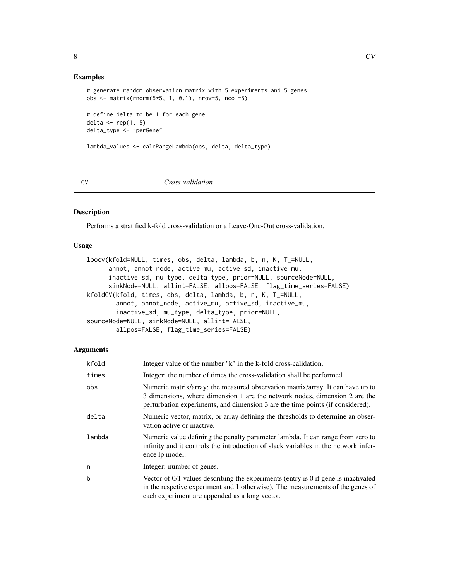#### <span id="page-7-0"></span>Examples

```
# generate random observation matrix with 5 experiments and 5 genes
obs <- matrix(rnorm(5*5, 1, 0.1), nrow=5, ncol=5)
```

```
# define delta to be 1 for each gene
delta \leftarrow \text{rep}(1, 5)delta_type <- "perGene"
```
lambda\_values <- calcRangeLambda(obs, delta, delta\_type)

CV *Cross-validation*

#### <span id="page-7-1"></span>Description

Performs a stratified k-fold cross-validation or a Leave-One-Out cross-validation.

# Usage

```
loocv(kfold=NULL, times, obs, delta, lambda, b, n, K, T_=NULL,
     annot, annot_node, active_mu, active_sd, inactive_mu,
     inactive_sd, mu_type, delta_type, prior=NULL, sourceNode=NULL,
     sinkNode=NULL, allint=FALSE, allpos=FALSE, flag_time_series=FALSE)
kfoldCV(kfold, times, obs, delta, lambda, b, n, K, T_=NULL,
       annot, annot_node, active_mu, active_sd, inactive_mu,
       inactive_sd, mu_type, delta_type, prior=NULL,
sourceNode=NULL, sinkNode=NULL, allint=FALSE,
       allpos=FALSE, flag_time_series=FALSE)
```

| kfold  | Integer value of the number "k" in the k-fold cross-calidation.                                                                                                                                                                                |
|--------|------------------------------------------------------------------------------------------------------------------------------------------------------------------------------------------------------------------------------------------------|
| times  | Integer: the number of times the cross-validation shall be performed.                                                                                                                                                                          |
| obs    | Numeric matrix/array: the measured observation matrix/array. It can have up to<br>3 dimensions, where dimension 1 are the network nodes, dimension 2 are the<br>perturbation experiments, and dimension 3 are the time points (if considered). |
| delta  | Numeric vector, matrix, or array defining the thresholds to determine an obser-<br>vation active or inactive.                                                                                                                                  |
| lambda | Numeric value defining the penalty parameter lambda. It can range from zero to<br>infinity and it controls the introduction of slack variables in the network infer-<br>ence lp model.                                                         |
| n      | Integer: number of genes.                                                                                                                                                                                                                      |
| b      | Vector of $0/1$ values describing the experiments (entry is 0 if gene is inactivated<br>in the respetive experiment and 1 otherwise). The measurements of the genes of<br>each experiment are appended as a long vector.                       |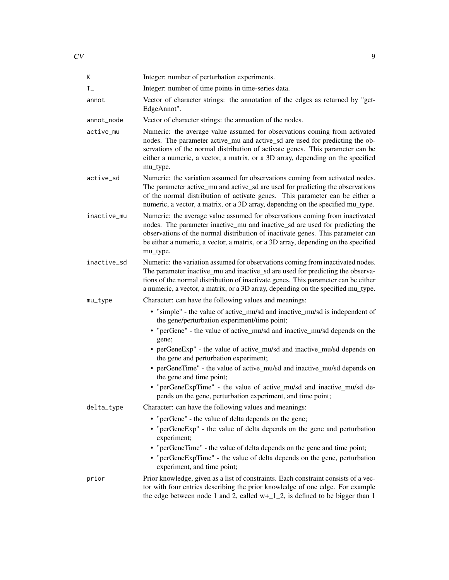| К           | Integer: number of perturbation experiments.                                                                                                                                                                                                                                                                                                     |
|-------------|--------------------------------------------------------------------------------------------------------------------------------------------------------------------------------------------------------------------------------------------------------------------------------------------------------------------------------------------------|
| $T_{-}$     | Integer: number of time points in time-series data.                                                                                                                                                                                                                                                                                              |
| annot       | Vector of character strings: the annotation of the edges as returned by "get-<br>EdgeAnnot".                                                                                                                                                                                                                                                     |
| annot_node  | Vector of character strings: the annoation of the nodes.                                                                                                                                                                                                                                                                                         |
| active_mu   | Numeric: the average value assumed for observations coming from activated<br>nodes. The parameter active_mu and active_sd are used for predicting the ob-<br>servations of the normal distribution of activate genes. This parameter can be<br>either a numeric, a vector, a matrix, or a 3D array, depending on the specified<br>mu_type.       |
| active_sd   | Numeric: the variation assumed for observations coming from activated nodes.<br>The parameter active_mu and active_sd are used for predicting the observations<br>of the normal distribution of activate genes. This parameter can be either a<br>numeric, a vector, a matrix, or a 3D array, depending on the specified mu_type.                |
| inactive_mu | Numeric: the average value assumed for observations coming from inactivated<br>nodes. The parameter inactive_mu and inactive_sd are used for predicting the<br>observations of the normal distribution of inactivate genes. This parameter can<br>be either a numeric, a vector, a matrix, or a 3D array, depending on the specified<br>mu_type. |
| inactive_sd | Numeric: the variation assumed for observations coming from inactivated nodes.<br>The parameter inactive_mu and inactive_sd are used for predicting the observa-<br>tions of the normal distribution of inactivate genes. This parameter can be either<br>a numeric, a vector, a matrix, or a 3D array, depending on the specified mu_type.      |
| mu_type     | Character: can have the following values and meanings:                                                                                                                                                                                                                                                                                           |
|             | • "simple" - the value of active_mu/sd and inactive_mu/sd is independent of<br>the gene/perturbation experiment/time point;<br>• "perGene" - the value of active_mu/sd and inactive_mu/sd depends on the<br>gene;<br>• perGeneExp" - the value of active_mu/sd and inactive_mu/sd depends on<br>the gene and perturbation experiment;            |
|             | • perGeneTime" - the value of active_mu/sd and inactive_mu/sd depends on<br>the gene and time point;                                                                                                                                                                                                                                             |
|             | • "perGeneExpTime" - the value of active_mu/sd and inactive_mu/sd de-<br>pends on the gene, perturbation experiment, and time point;                                                                                                                                                                                                             |
| delta_type  | Character: can have the following values and meanings:                                                                                                                                                                                                                                                                                           |
|             | • "perGene" - the value of delta depends on the gene;                                                                                                                                                                                                                                                                                            |
|             | • "perGeneExp" - the value of delta depends on the gene and perturbation<br>experiment;                                                                                                                                                                                                                                                          |
|             | • "perGeneTime" - the value of delta depends on the gene and time point;<br>• "perGeneExpTime" - the value of delta depends on the gene, perturbation<br>experiment, and time point;                                                                                                                                                             |
| prior       | Prior knowledge, given as a list of constraints. Each constraint consists of a vec-<br>tor with four entries describing the prior knowledge of one edge. For example<br>the edge between node 1 and 2, called $w+12$ , is defined to be bigger than 1                                                                                            |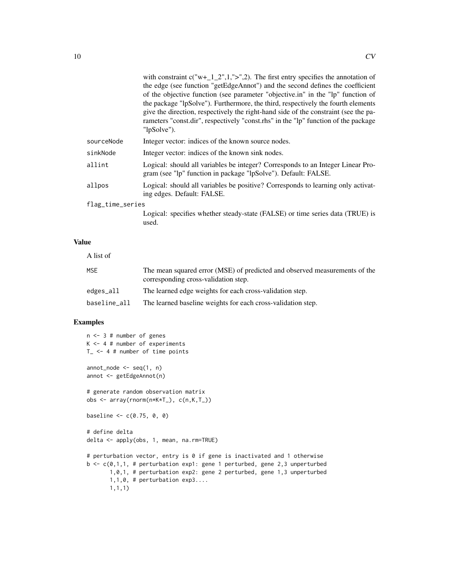|                  | with constraint $c("w+12",1,">",2)$ . The first entry specifies the annotation of<br>the edge (see function "getEdgeAnnot") and the second defines the coefficient<br>of the objective function (see parameter "objective.in" in the "lp" function of<br>the package "lpSolve"). Furthermore, the third, respectively the fourth elements<br>give the direction, respectively the right-hand side of the constraint (see the pa-<br>rameters "const.dir", respectively "const.rhs" in the "lp" function of the package<br>"lpSolve"). |
|------------------|---------------------------------------------------------------------------------------------------------------------------------------------------------------------------------------------------------------------------------------------------------------------------------------------------------------------------------------------------------------------------------------------------------------------------------------------------------------------------------------------------------------------------------------|
| sourceNode       | Integer vector: indices of the known source nodes.                                                                                                                                                                                                                                                                                                                                                                                                                                                                                    |
| sinkNode         | Integer vector: indices of the known sink nodes.                                                                                                                                                                                                                                                                                                                                                                                                                                                                                      |
| allint           | Logical: should all variables be integer? Corresponds to an Integer Linear Pro-<br>gram (see "lp" function in package "lpSolve"). Default: FALSE.                                                                                                                                                                                                                                                                                                                                                                                     |
| allpos           | Logical: should all variables be positive? Corresponds to learning only activat-<br>ing edges. Default: FALSE.                                                                                                                                                                                                                                                                                                                                                                                                                        |
| flag_time_series |                                                                                                                                                                                                                                                                                                                                                                                                                                                                                                                                       |
|                  | Logical: specifies whether steady-state (FALSE) or time series data (TRUE) is<br>used.                                                                                                                                                                                                                                                                                                                                                                                                                                                |
|                  |                                                                                                                                                                                                                                                                                                                                                                                                                                                                                                                                       |

# Value

| A list of    |                                                                                                                    |
|--------------|--------------------------------------------------------------------------------------------------------------------|
| <b>MSE</b>   | The mean squared error (MSE) of predicted and observed measurements of the<br>corresponding cross-validation step. |
| edges_all    | The learned edge weights for each cross-validation step.                                                           |
| baseline_all | The learned baseline weights for each cross-validation step.                                                       |

```
n <- 3 # number of genes
K \le -4 # number of experiments
T_{-} <- 4 # number of time points
annot\_node \leq - seq(1, n)annot <- getEdgeAnnot(n)
# generate random observation matrix
obs <- array(rnorm(n*K*T_), c(n,K,T_))
baseline <-c(0.75, 0, 0)# define delta
delta <- apply(obs, 1, mean, na.rm=TRUE)
# perturbation vector, entry is 0 if gene is inactivated and 1 otherwise
b <- c(0,1,1, # perturbation exp1: gene 1 perturbed, gene 2,3 unperturbed
      1,0,1, # perturbation exp2: gene 2 perturbed, gene 1,3 unperturbed
      1,1,0, # perturbation exp3....
       1,1,1)
```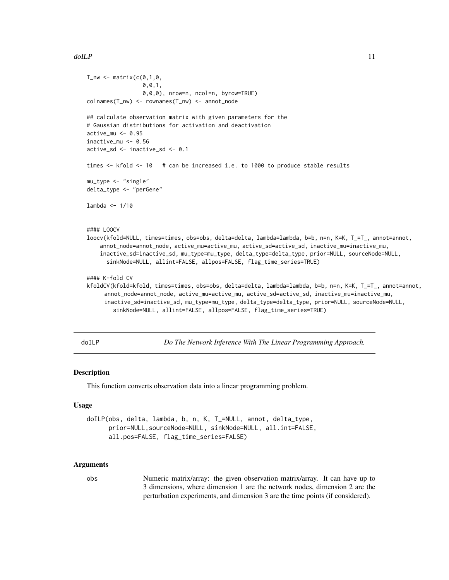```
T_{\text{un}} \leftarrow \text{matrix}(c(0,1,0),0,0,1,
                 0,0,0), nrow=n, ncol=n, byrow=TRUE)
colnames(T_nw) <- rownames(T_nw) <- annot_node
## calculate observation matrix with given parameters for the
# Gaussian distributions for activation and deactivation
active_mu <- 0.95
inactive_mu <- 0.56
active_sd <- inactive_sd <- 0.1
times <- kfold <- 10 # can be increased i.e. to 1000 to produce stable results
mu_type <- "single"
delta_type <- "perGene"
lambda <- 1/10
#### LOOCV
loocv(kfold=NULL, times=times, obs=obs, delta=delta, lambda=lambda, b=b, n=n, K=K, T_=T_, annot=annot,
    annot_node=annot_node, active_mu=active_mu, active_sd=active_sd, inactive_mu=inactive_mu,
    inactive_sd=inactive_sd, mu_type=mu_type, delta_type=delta_type, prior=NULL, sourceNode=NULL,
      sinkNode=NULL, allint=FALSE, allpos=FALSE, flag_time_series=TRUE)
#### K-fold CV
kfoldCV(kfold=kfold, times=times, obs=obs, delta=delta, lambda=lambda, b=b, n=n, K=K, T_=T_, annot=annot,
     annot_node=annot_node, active_mu=active_mu, active_sd=active_sd, inactive_mu=inactive_mu,
     inactive_sd=inactive_sd, mu_type=mu_type, delta_type=delta_type, prior=NULL, sourceNode=NULL,
        sinkNode=NULL, allint=FALSE, allpos=FALSE, flag_time_series=TRUE)
```
<span id="page-10-1"></span>

doILP *Do The Network Inference With The Linear Programming Approach.*

#### Description

This function converts observation data into a linear programming problem.

#### Usage

```
doILP(obs, delta, lambda, b, n, K, T_=NULL, annot, delta_type,
     prior=NULL,sourceNode=NULL, sinkNode=NULL, all.int=FALSE,
     all.pos=FALSE, flag_time_series=FALSE)
```
#### Arguments

obs Numeric matrix/array: the given observation matrix/array. It can have up to 3 dimensions, where dimension 1 are the network nodes, dimension 2 are the perturbation experiments, and dimension 3 are the time points (if considered).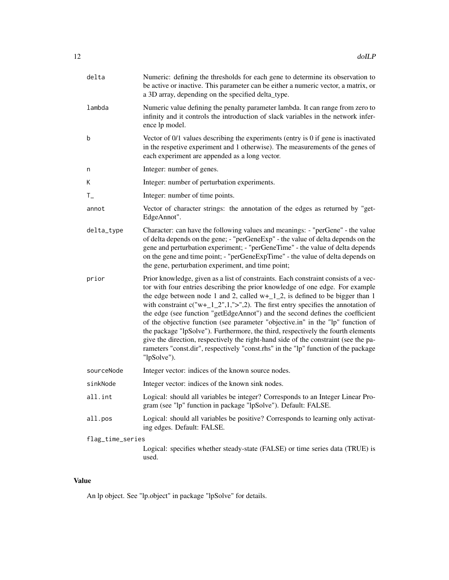| delta            | Numeric: defining the thresholds for each gene to determine its observation to<br>be active or inactive. This parameter can be either a numeric vector, a matrix, or<br>a 3D array, depending on the specified delta_type.                                                                                                                                                                                                                                                                                                                                                                                                                                                                                                                                                                     |  |
|------------------|------------------------------------------------------------------------------------------------------------------------------------------------------------------------------------------------------------------------------------------------------------------------------------------------------------------------------------------------------------------------------------------------------------------------------------------------------------------------------------------------------------------------------------------------------------------------------------------------------------------------------------------------------------------------------------------------------------------------------------------------------------------------------------------------|--|
| lambda           | Numeric value defining the penalty parameter lambda. It can range from zero to<br>infinity and it controls the introduction of slack variables in the network infer-<br>ence lp model.                                                                                                                                                                                                                                                                                                                                                                                                                                                                                                                                                                                                         |  |
| b                | Vector of 0/1 values describing the experiments (entry is 0 if gene is inactivated<br>in the respetive experiment and 1 otherwise). The measurements of the genes of<br>each experiment are appended as a long vector.                                                                                                                                                                                                                                                                                                                                                                                                                                                                                                                                                                         |  |
| n                | Integer: number of genes.                                                                                                                                                                                                                                                                                                                                                                                                                                                                                                                                                                                                                                                                                                                                                                      |  |
| Κ                | Integer: number of perturbation experiments.                                                                                                                                                                                                                                                                                                                                                                                                                                                                                                                                                                                                                                                                                                                                                   |  |
| $T_{-}$          | Integer: number of time points.                                                                                                                                                                                                                                                                                                                                                                                                                                                                                                                                                                                                                                                                                                                                                                |  |
| annot            | Vector of character strings: the annotation of the edges as returned by "get-<br>EdgeAnnot".                                                                                                                                                                                                                                                                                                                                                                                                                                                                                                                                                                                                                                                                                                   |  |
| delta_type       | Character: can have the following values and meanings: - "perGene" - the value<br>of delta depends on the gene; - "perGeneExp" - the value of delta depends on the<br>gene and perturbation experiment; - "perGeneTime" - the value of delta depends<br>on the gene and time point; - "perGeneExpTime" - the value of delta depends on<br>the gene, perturbation experiment, and time point;                                                                                                                                                                                                                                                                                                                                                                                                   |  |
| prior            | Prior knowledge, given as a list of constraints. Each constraint consists of a vec-<br>tor with four entries describing the prior knowledge of one edge. For example<br>the edge between node 1 and 2, called $w+12$ , is defined to be bigger than 1<br>with constraint $c("w+12",1,">",2)$ . The first entry specifies the annotation of<br>the edge (see function "getEdgeAnnot") and the second defines the coefficient<br>of the objective function (see parameter "objective.in" in the "lp" function of<br>the package "lpSolve"). Furthermore, the third, respectively the fourth elements<br>give the direction, respectively the right-hand side of the constraint (see the pa-<br>rameters "const.dir", respectively "const.rhs" in the "lp" function of the package<br>"lpSolve"). |  |
| sourceNode       | Integer vector: indices of the known source nodes.                                                                                                                                                                                                                                                                                                                                                                                                                                                                                                                                                                                                                                                                                                                                             |  |
| sinkNode         | Integer vector: indices of the known sink nodes.                                                                                                                                                                                                                                                                                                                                                                                                                                                                                                                                                                                                                                                                                                                                               |  |
| all.int          | Logical: should all variables be integer? Corresponds to an Integer Linear Pro-<br>gram (see "lp" function in package "lpSolve"). Default: FALSE.                                                                                                                                                                                                                                                                                                                                                                                                                                                                                                                                                                                                                                              |  |
| all.pos          | Logical: should all variables be positive? Corresponds to learning only activat-<br>ing edges. Default: FALSE.                                                                                                                                                                                                                                                                                                                                                                                                                                                                                                                                                                                                                                                                                 |  |
| flag_time_series |                                                                                                                                                                                                                                                                                                                                                                                                                                                                                                                                                                                                                                                                                                                                                                                                |  |
|                  | Logical: specifies whether steady-state (FALSE) or time series data (TRUE) is<br>used.                                                                                                                                                                                                                                                                                                                                                                                                                                                                                                                                                                                                                                                                                                         |  |

# Value

An lp object. See "lp.object" in package "lpSolve" for details.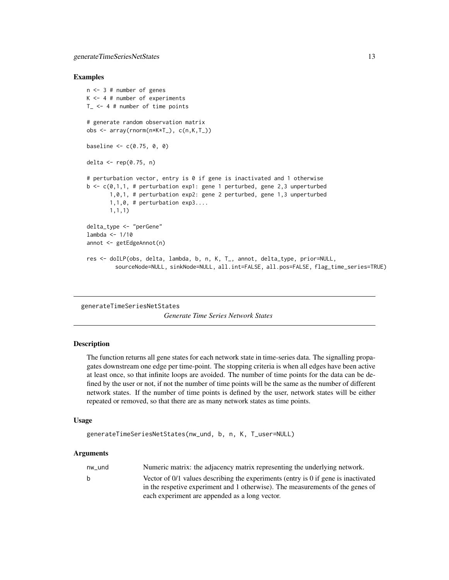#### <span id="page-12-0"></span>Examples

```
n <- 3 # number of genes
K \le -4 # number of experiments
T_{-} <- 4 # number of time points
# generate random observation matrix
obs <- array(rnorm(n*K*T_), c(n,K,T_))
baseline <-c(0.75, 0, 0)delta \leq rep(0.75, n)
# perturbation vector, entry is 0 if gene is inactivated and 1 otherwise
b \leq c(0,1,1, 1) # perturbation exp1: gene 1 perturbed, gene 2,3 unperturbed
       1,0,1, # perturbation exp2: gene 2 perturbed, gene 1,3 unperturbed
       1,1,0, # perturbation exp3....
       1,1,1)
delta_type <- "perGene"
lambda <- 1/10
annot <- getEdgeAnnot(n)
res <- doILP(obs, delta, lambda, b, n, K, T_, annot, delta_type, prior=NULL,
         sourceNode=NULL, sinkNode=NULL, all.int=FALSE, all.pos=FALSE, flag_time_series=TRUE)
```
generateTimeSeriesNetStates

*Generate Time Series Network States*

#### **Description**

The function returns all gene states for each network state in time-series data. The signalling propagates downstream one edge per time-point. The stopping criteria is when all edges have been active at least once, so that infinite loops are avoided. The number of time points for the data can be defined by the user or not, if not the number of time points will be the same as the number of different network states. If the number of time points is defined by the user, network states will be either repeated or removed, so that there are as many network states as time points.

#### Usage

```
generateTimeSeriesNetStates(nw_und, b, n, K, T_user=NULL)
```

| nw und | Numeric matrix: the adjacency matrix representing the underlying network.          |
|--------|------------------------------------------------------------------------------------|
| b.     | Vector of 0/1 values describing the experiments (entry is 0 if gene is inactivated |
|        | in the respetive experiment and 1 otherwise). The measurements of the genes of     |
|        | each experiment are appended as a long vector.                                     |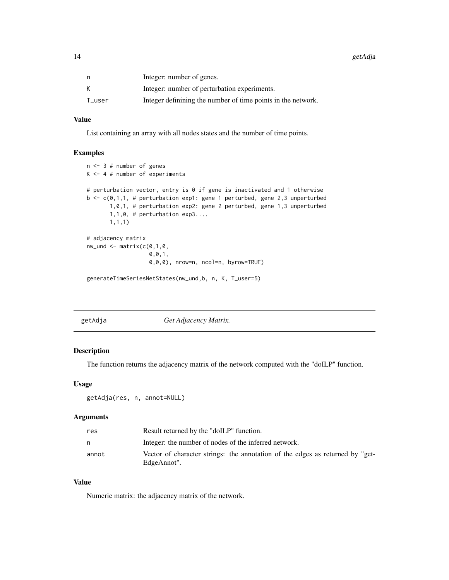<span id="page-13-0"></span>14 getAdja

| n      | Integer: number of genes.                                    |
|--------|--------------------------------------------------------------|
|        | Integer: number of perturbation experiments.                 |
| T user | Integer definining the number of time points in the network. |

#### Value

List containing an array with all nodes states and the number of time points.

#### Examples

```
n <- 3 # number of genes
K \le -4 # number of experiments
# perturbation vector, entry is 0 if gene is inactivated and 1 otherwise
b \leq c(0,1,1, # perturbation exp1: gene 1 perturbed, gene 2,3 unperturbed
       1,0,1, # perturbation exp2: gene 2 perturbed, gene 1,3 unperturbed
       1,1,0, # perturbation exp3....
       1,1,1)
# adjacency matrix
nw\_und \leftarrow matrix(c(0,1,0,0,0,1,
                   0,0,0), nrow=n, ncol=n, byrow=TRUE)
generateTimeSeriesNetStates(nw_und,b, n, K, T_user=5)
```

| getAdja | Get Adjacency Matrix. |  |
|---------|-----------------------|--|

#### Description

The function returns the adjacency matrix of the network computed with the "doILP" function.

#### Usage

```
getAdja(res, n, annot=NULL)
```
#### Arguments

| res   | Result returned by the "doILP" function.                                                     |
|-------|----------------------------------------------------------------------------------------------|
| n.    | Integer: the number of nodes of the inferred network.                                        |
| annot | Vector of character strings: the annotation of the edges as returned by "get-<br>EdgeAnnot". |

#### Value

Numeric matrix: the adjacency matrix of the network.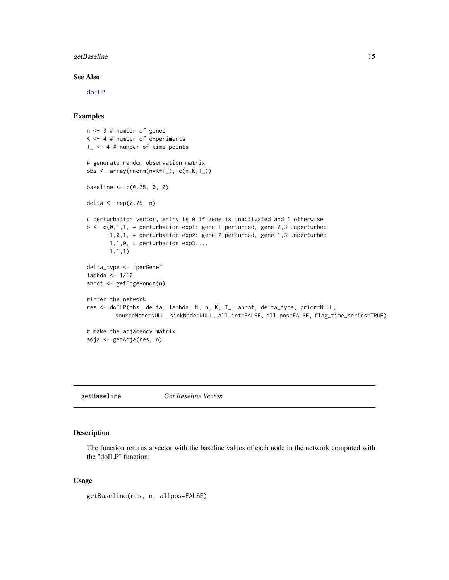#### <span id="page-14-0"></span>getBaseline 15

#### See Also

[doILP](#page-10-1)

#### Examples

```
n <- 3 # number of genes
K \le -4 # number of experiments
T_{-} <- 4 # number of time points
# generate random observation matrix
obs <- array(rnorm(n*K*T_), c(n,K,T_))
baseline <-c(0.75, 0, 0)delta <- rep(0.75, n)
# perturbation vector, entry is 0 if gene is inactivated and 1 otherwise
b \leq c(0,1,1, # perturbation exp1: gene 1 perturbed, gene 2,3 unperturbed
       1,0,1, # perturbation exp2: gene 2 perturbed, gene 1,3 unperturbed
       1,1,0, # perturbation exp3....
       1,1,1)
delta_type <- "perGene"
lambda <- 1/10
annot <- getEdgeAnnot(n)
#infer the network
res <- doILP(obs, delta, lambda, b, n, K, T_, annot, delta_type, prior=NULL,
         sourceNode=NULL, sinkNode=NULL, all.int=FALSE, all.pos=FALSE, flag_time_series=TRUE)
# make the adjacency matrix
adja <- getAdja(res, n)
```
getBaseline *Get Baseline Vector.*

#### Description

The function returns a vector with the baseline values of each node in the network computed with the "doILP" function.

#### Usage

```
getBaseline(res, n, allpos=FALSE)
```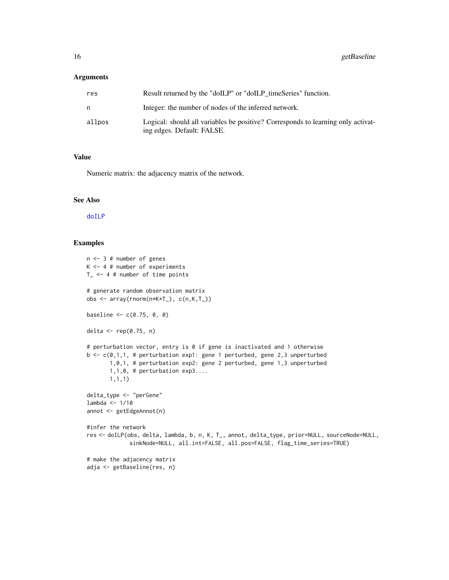#### <span id="page-15-0"></span>Arguments

| res    | Result returned by the "doILP" or "doILP timeSeries" function.                                                 |
|--------|----------------------------------------------------------------------------------------------------------------|
| n      | Integer: the number of nodes of the inferred network.                                                          |
| allpos | Logical: should all variables be positive? Corresponds to learning only activat-<br>ing edges. Default: FALSE. |

#### Value

Numeric matrix: the adjacency matrix of the network.

#### See Also

[doILP](#page-10-1)

```
n <- 3 # number of genes
K \le -4 # number of experiments
T_{-} <- 4 # number of time points
# generate random observation matrix
obs <- array(rnorm(n*K*T_), c(n,K,T_))
baseline <-c(0.75, 0, 0)delta \leq rep(0.75, n)
# perturbation vector, entry is 0 if gene is inactivated and 1 otherwise
b \leq c(0,1,1, 4) perturbation exp1: gene 1 perturbed, gene 2,3 unperturbed
       1,0,1, # perturbation exp2: gene 2 perturbed, gene 1,3 unperturbed
       1,1,0, # perturbation exp3....
       1,1,1)
delta_type <- "perGene"
lambda <- 1/10
annot <- getEdgeAnnot(n)
#infer the network
res <- doILP(obs, delta, lambda, b, n, K, T_, annot, delta_type, prior=NULL, sourceNode=NULL,
             sinkNode=NULL, all.int=FALSE, all.pos=FALSE, flag_time_series=TRUE)
# make the adjacency matrix
adja <- getBaseline(res, n)
```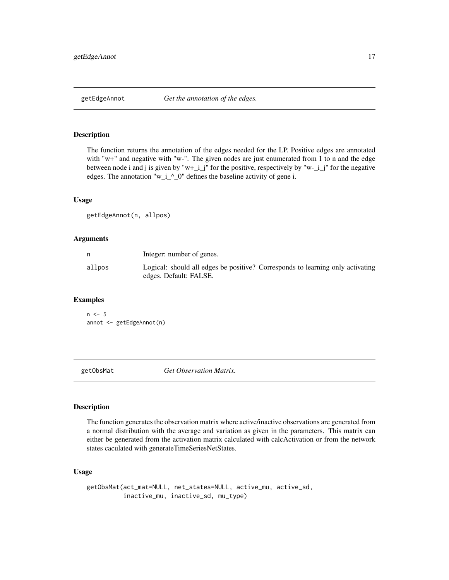<span id="page-16-0"></span>

#### Description

The function returns the annotation of the edges needed for the LP. Positive edges are annotated with "w+" and negative with "w-". The given nodes are just enumerated from 1 to n and the edge between node i and j is given by "w+\_i\_j" for the positive, respectively by "w-\_i\_j" for the negative edges. The annotation "w\_i\_^\_0" defines the baseline activity of gene i.

#### Usage

getEdgeAnnot(n, allpos)

#### Arguments

|        | Integer: number of genes.                                                                                |
|--------|----------------------------------------------------------------------------------------------------------|
| allpos | Logical: should all edges be positive? Corresponds to learning only activating<br>edges. Default: FALSE. |

#### Examples

```
n < -5annot <- getEdgeAnnot(n)
```
getObsMat *Get Observation Matrix.*

## Description

The function generates the observation matrix where active/inactive observations are generated from a normal distribution with the average and variation as given in the parameters. This matrix can either be generated from the activation matrix calculated with calcActivation or from the network states caculated with generateTimeSeriesNetStates.

#### Usage

```
getObsMat(act_mat=NULL, net_states=NULL, active_mu, active_sd,
         inactive_mu, inactive_sd, mu_type)
```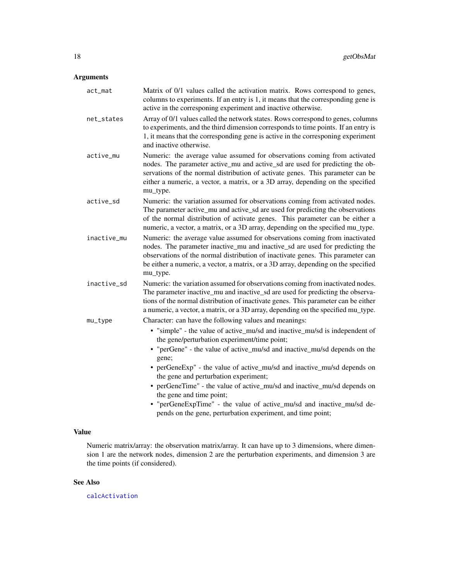# <span id="page-17-0"></span>Arguments

| act_mat     | Matrix of 0/1 values called the activation matrix. Rows correspond to genes,<br>columns to experiments. If an entry is 1, it means that the corresponding gene is<br>active in the corresponing experiment and inactive otherwise.                                                                                                                                                                                                                                                                                                                                               |
|-------------|----------------------------------------------------------------------------------------------------------------------------------------------------------------------------------------------------------------------------------------------------------------------------------------------------------------------------------------------------------------------------------------------------------------------------------------------------------------------------------------------------------------------------------------------------------------------------------|
| net_states  | Array of 0/1 values called the network states. Rows correspond to genes, columns<br>to experiments, and the third dimension corresponds to time points. If an entry is<br>1, it means that the corresponding gene is active in the corresponing experiment<br>and inactive otherwise.                                                                                                                                                                                                                                                                                            |
| active_mu   | Numeric: the average value assumed for observations coming from activated<br>nodes. The parameter active_mu and active_sd are used for predicting the ob-<br>servations of the normal distribution of activate genes. This parameter can be<br>either a numeric, a vector, a matrix, or a 3D array, depending on the specified<br>mu_type.                                                                                                                                                                                                                                       |
| active_sd   | Numeric: the variation assumed for observations coming from activated nodes.<br>The parameter active_mu and active_sd are used for predicting the observations<br>of the normal distribution of activate genes. This parameter can be either a<br>numeric, a vector, a matrix, or a 3D array, depending on the specified mu_type.                                                                                                                                                                                                                                                |
| inactive_mu | Numeric: the average value assumed for observations coming from inactivated<br>nodes. The parameter inactive_mu and inactive_sd are used for predicting the<br>observations of the normal distribution of inactivate genes. This parameter can<br>be either a numeric, a vector, a matrix, or a 3D array, depending on the specified<br>mu_type.                                                                                                                                                                                                                                 |
| inactive_sd | Numeric: the variation assumed for observations coming from inactivated nodes.<br>The parameter inactive_mu and inactive_sd are used for predicting the observa-<br>tions of the normal distribution of inactivate genes. This parameter can be either<br>a numeric, a vector, a matrix, or a 3D array, depending on the specified mu_type.                                                                                                                                                                                                                                      |
| $mu_t$      | Character: can have the following values and meanings:<br>• "simple" - the value of active_mu/sd and inactive_mu/sd is independent of<br>the gene/perturbation experiment/time point;<br>• "perGene" - the value of active_mu/sd and inactive_mu/sd depends on the<br>gene;<br>• perGeneExp" - the value of active_mu/sd and inactive_mu/sd depends on<br>the gene and perturbation experiment;<br>• perGeneTime" - the value of active_mu/sd and inactive_mu/sd depends on<br>the gene and time point;<br>• "perGeneExpTime" - the value of active_mu/sd and inactive_mu/sd de- |
|             | pends on the gene, perturbation experiment, and time point;                                                                                                                                                                                                                                                                                                                                                                                                                                                                                                                      |

### Value

Numeric matrix/array: the observation matrix/array. It can have up to 3 dimensions, where dimension 1 are the network nodes, dimension 2 are the perturbation experiments, and dimension 3 are the time points (if considered).

#### See Also

[calcActivation](#page-2-1)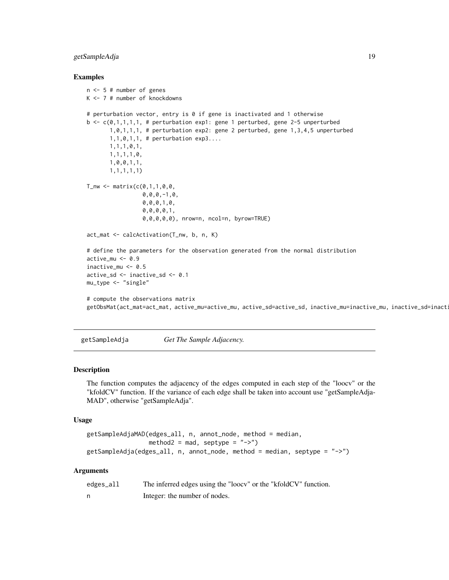#### <span id="page-18-0"></span>getSampleAdja 19

#### Examples

```
n <- 5 # number of genes
K <- 7 # number of knockdowns
# perturbation vector, entry is 0 if gene is inactivated and 1 otherwise
b \leq c(0,1,1,1,1,1) # perturbation exp1: gene 1 perturbed, gene 2-5 unperturbed
       1,0,1,1,1, # perturbation exp2: gene 2 perturbed, gene 1,3,4,5 unperturbed
       1, 1, 0, 1, 1, # perturbation exp3....
       1,1,1,0,1,
       1,1,1,1,0,
       1,0,0,1,1,
       1,1,1,1,1)
T_{\text{inv}} <- matrix(c(0,1,1,0,0,0,0,0,-1,0,
                 0,0,0,1,0,
                 0,0,0,0,1,
                 0,0,0,0,0), nrow=n, ncol=n, byrow=TRUE)
act_mat <- calcActivation(T_nw, b, n, K)
# define the parameters for the observation generated from the normal distribution
active_mu < -0.9inactive_mu <- 0.5
active_sd <- inactive_sd <- 0.1
mu_type <- "single"
# compute the observations matrix
getObsMat(act_mat=act_mat, active_mu=active_mu, active_sd=active_sd, inactive_mu=inactive_mu, inactive_sd=inact
```
getSampleAdja *Get The Sample Adjacency.*

#### Description

The function computes the adjacency of the edges computed in each step of the "loocv" or the "kfoldCV" function. If the variance of each edge shall be taken into account use "getSampleAdja-MAD", otherwise "getSampleAdja".

#### Usage

```
getSampleAdjaMAD(edges_all, n, annot_node, method = median,
                method2 = mad, septype = "->")getSampleAdja(edges_all, n, annot_node, method = median, septype = "->")
```

| edges_all | The inferred edges using the "loocy" or the "kfoldCV" function. |
|-----------|-----------------------------------------------------------------|
|           | Integer: the number of nodes.                                   |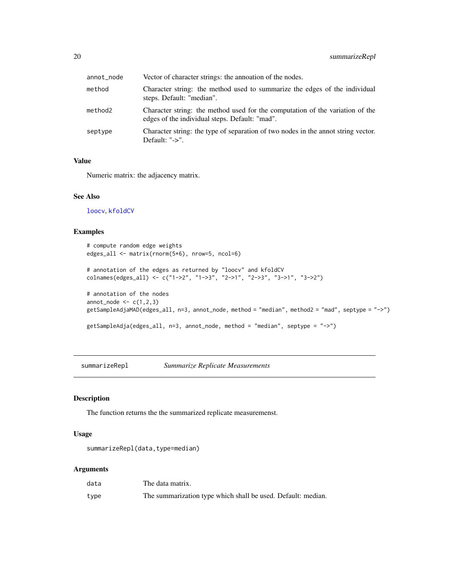<span id="page-19-0"></span>

| annot_node | Vector of character strings: the annoation of the nodes.                                                                        |
|------------|---------------------------------------------------------------------------------------------------------------------------------|
| method     | Character string: the method used to summarize the edges of the individual<br>steps. Default: "median".                         |
| method2    | Character string: the method used for the computation of the variation of the<br>edges of the individual steps. Default: "mad". |
| septype    | Character string: the type of separation of two nodes in the annot string vector.<br>Default: "->".                             |

# Value

Numeric matrix: the adjacency matrix.

#### See Also

[loocv](#page-7-1), [kfoldCV](#page-7-1)

#### Examples

```
# compute random edge weights
edges_all <- matrix(rnorm(5*6), nrow=5, ncol=6)
# annotation of the edges as returned by "loocv" and kfoldCV
colnames(edges_all) <- c("1->2", "1->3", "2->1", "2->3", "3->1", "3->2")
# annotation of the nodes
annot\_node \leq c(1,2,3)getSampleAdjaMAD(edges_all, n=3, annot_node, method = "median", method2 = "mad", septype = "->")
getSampleAdja(edges_all, n=3, annot_node, method = "median", septype = "->")
```
summarizeRepl *Summarize Replicate Measurements*

#### Description

The function returns the the summarized replicate measuremenst.

#### Usage

summarizeRepl(data,type=median)

| data | The data matrix.                                             |
|------|--------------------------------------------------------------|
| type | The summarization type which shall be used. Default: median. |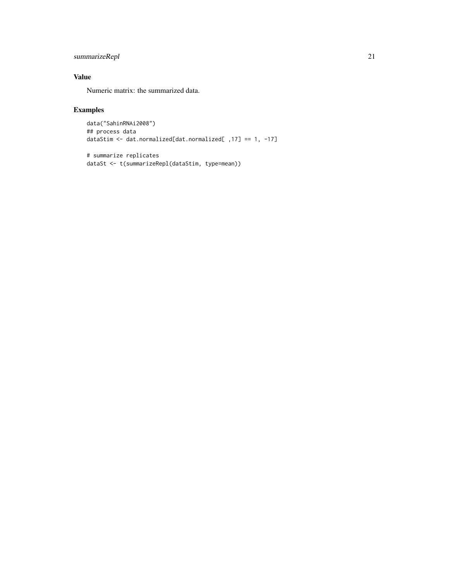# summarizeRepl 21

# Value

Numeric matrix: the summarized data.

```
data("SahinRNAi2008")
## process data
dataStim <- dat.normalized[dat.normalized[ ,17] == 1, -17]
```

```
# summarize replicates
dataSt <- t(summarizeRepl(dataStim, type=mean))
```